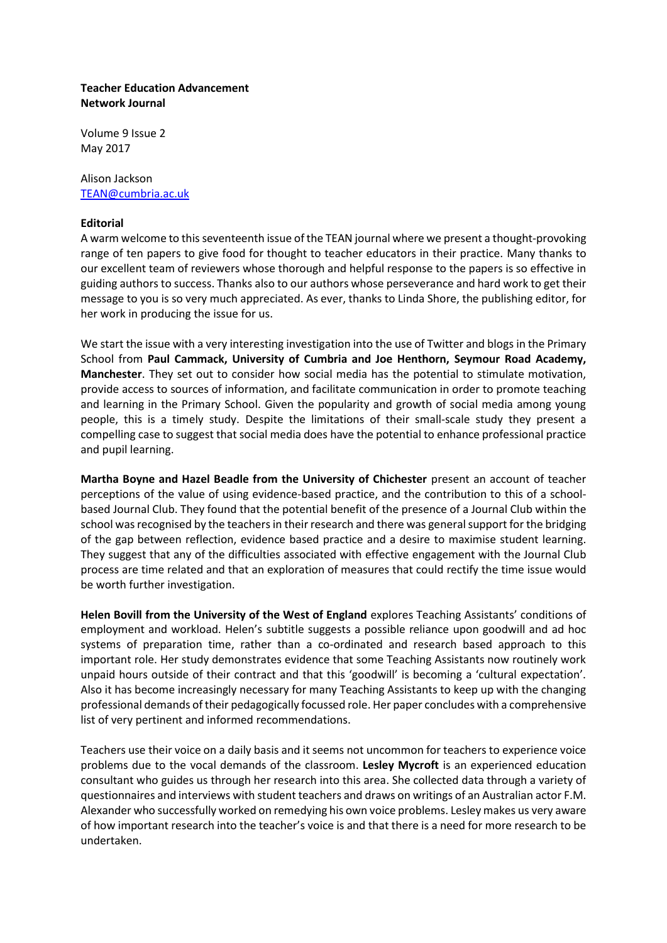## **Teacher Education Advancement Network Journal**

Volume 9 Issue 2 May 2017

## Alison Jackson [TEAN@cumbria.ac.uk](mailto:TEAN@cumbria.ac.uk)

## **Editorial**

A warm welcome to this seventeenth issue of the TEAN journal where we present a thought-provoking range of ten papers to give food for thought to teacher educators in their practice. Many thanks to our excellent team of reviewers whose thorough and helpful response to the papers is so effective in guiding authors to success. Thanks also to our authors whose perseverance and hard work to get their message to you is so very much appreciated. As ever, thanks to Linda Shore, the publishing editor, for her work in producing the issue for us.

We start the issue with a very interesting investigation into the use of Twitter and blogs in the Primary School from **Paul Cammack, University of Cumbria and Joe Henthorn, Seymour Road Academy, Manchester**. They set out to consider how social media has the potential to stimulate motivation, provide access to sources of information, and facilitate communication in order to promote teaching and learning in the Primary School. Given the popularity and growth of social media among young people, this is a timely study. Despite the limitations of their small-scale study they present a compelling case to suggest that social media does have the potential to enhance professional practice and pupil learning.

**Martha Boyne and Hazel Beadle from the University of Chichester** present an account of teacher perceptions of the value of using evidence-based practice, and the contribution to this of a schoolbased Journal Club. They found that the potential benefit of the presence of a Journal Club within the school was recognised by the teachers in their research and there was general support for the bridging of the gap between reflection, evidence based practice and a desire to maximise student learning. They suggest that any of the difficulties associated with effective engagement with the Journal Club process are time related and that an exploration of measures that could rectify the time issue would be worth further investigation.

**Helen Bovill from the University of the West of England** explores Teaching Assistants' conditions of employment and workload. Helen's subtitle suggests a possible reliance upon goodwill and ad hoc systems of preparation time, rather than a co-ordinated and research based approach to this important role. Her study demonstrates evidence that some Teaching Assistants now routinely work unpaid hours outside of their contract and that this 'goodwill' is becoming a 'cultural expectation'. Also it has become increasingly necessary for many Teaching Assistants to keep up with the changing professional demands of their pedagogically focussed role. Her paper concludes with a comprehensive list of very pertinent and informed recommendations.

Teachers use their voice on a daily basis and it seems not uncommon for teachers to experience voice problems due to the vocal demands of the classroom. **Lesley Mycroft** is an experienced education consultant who guides us through her research into this area. She collected data through a variety of questionnaires and interviews with student teachers and draws on writings of an Australian actor F.M. Alexander who successfully worked on remedying his own voice problems. Lesley makes us very aware of how important research into the teacher's voice is and that there is a need for more research to be undertaken.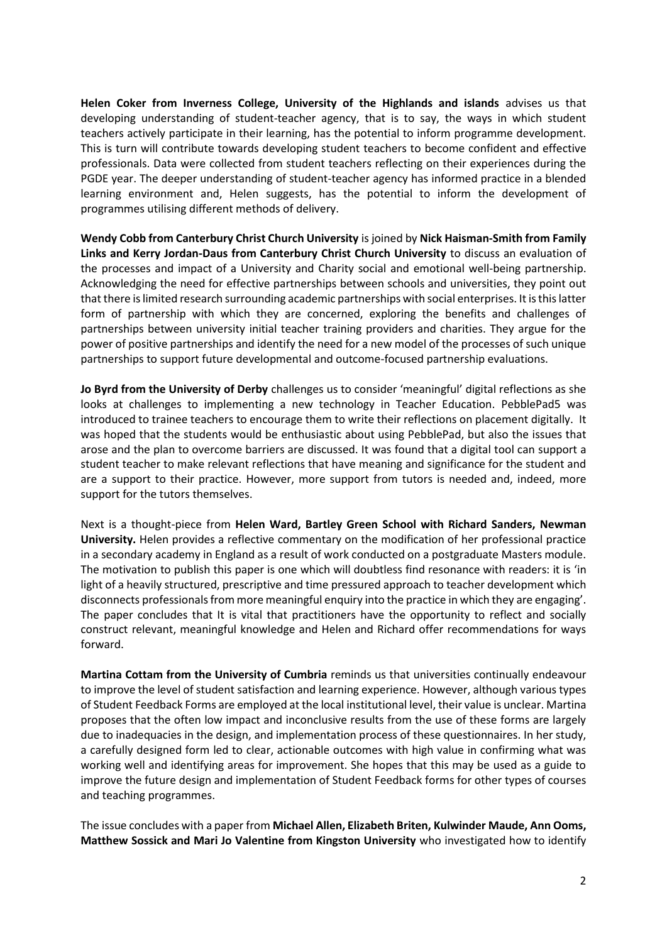**Helen Coker from Inverness College, University of the Highlands and islands** advises us that developing understanding of student-teacher agency, that is to say, the ways in which student teachers actively participate in their learning, has the potential to inform programme development. This is turn will contribute towards developing student teachers to become confident and effective professionals. Data were collected from student teachers reflecting on their experiences during the PGDE year. The deeper understanding of student-teacher agency has informed practice in a blended learning environment and, Helen suggests, has the potential to inform the development of programmes utilising different methods of delivery.

**Wendy Cobb from Canterbury Christ Church University** is joined by **Nick Haisman-Smith from Family Links and Kerry Jordan-Daus from Canterbury Christ Church University** to discuss an evaluation of the processes and impact of a University and Charity social and emotional well-being partnership. Acknowledging the need for effective partnerships between schools and universities, they point out that there is limited research surrounding academic partnerships with social enterprises. It is this latter form of partnership with which they are concerned, exploring the benefits and challenges of partnerships between university initial teacher training providers and charities. They argue for the power of positive partnerships and identify the need for a new model of the processes of such unique partnerships to support future developmental and outcome-focused partnership evaluations.

**Jo Byrd from the University of Derby** challenges us to consider 'meaningful' digital reflections as she looks at challenges to implementing a new technology in Teacher Education. PebblePad5 was introduced to trainee teachers to encourage them to write their reflections on placement digitally. It was hoped that the students would be enthusiastic about using PebblePad, but also the issues that arose and the plan to overcome barriers are discussed. It was found that a digital tool can support a student teacher to make relevant reflections that have meaning and significance for the student and are a support to their practice. However, more support from tutors is needed and, indeed, more support for the tutors themselves.

Next is a thought-piece from **Helen Ward, Bartley Green School with Richard Sanders, Newman University.** Helen provides a reflective commentary on the modification of her professional practice in a secondary academy in England as a result of work conducted on a postgraduate Masters module. The motivation to publish this paper is one which will doubtless find resonance with readers: it is 'in light of a heavily structured, prescriptive and time pressured approach to teacher development which disconnects professionals from more meaningful enquiry into the practice in which they are engaging'. The paper concludes that It is vital that practitioners have the opportunity to reflect and socially construct relevant, meaningful knowledge and Helen and Richard offer recommendations for ways forward.

**Martina Cottam from the University of Cumbria** reminds us that universities continually endeavour to improve the level of student satisfaction and learning experience. However, although various types of Student Feedback Forms are employed at the local institutional level, their value is unclear. Martina proposes that the often low impact and inconclusive results from the use of these forms are largely due to inadequacies in the design, and implementation process of these questionnaires. In her study, a carefully designed form led to clear, actionable outcomes with high value in confirming what was working well and identifying areas for improvement. She hopes that this may be used as a guide to improve the future design and implementation of Student Feedback forms for other types of courses and teaching programmes.

The issue concludes with a paper from **Michael Allen, Elizabeth Briten, Kulwinder Maude, Ann Ooms, Matthew Sossick and Mari Jo Valentine from Kingston University** who investigated how to identify